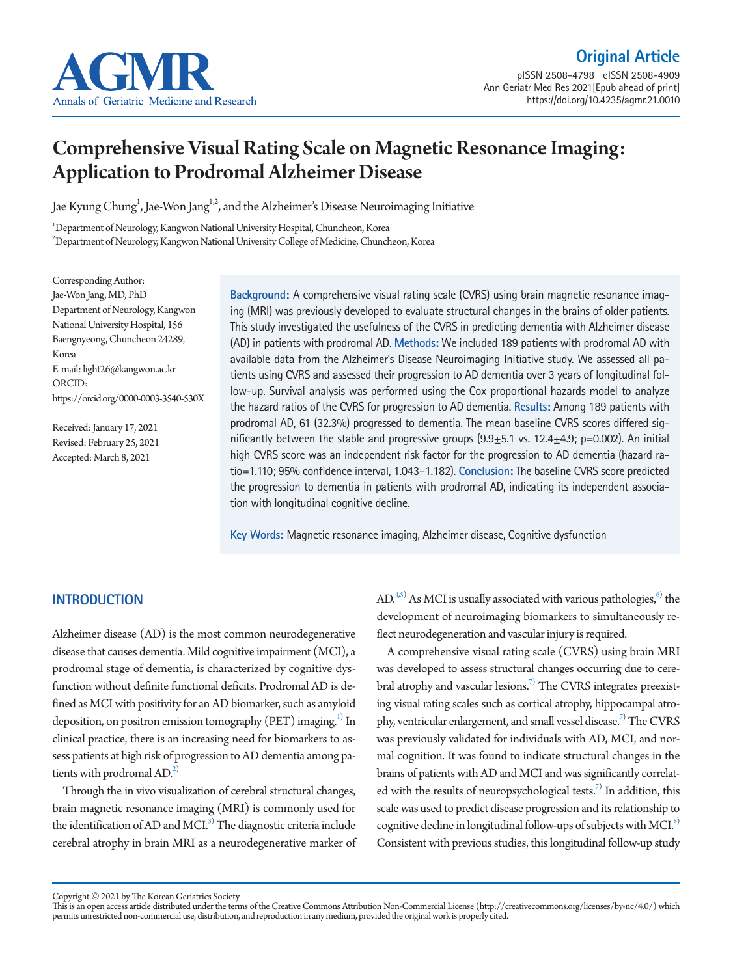

https://doi.org/10.4235/agmr.21.0010

# Comprehensive Visual Rating Scale on Magnetic Resonance Imaging: Application to Prodromal Alzheimer Disease

Jae Kyung Chung<sup>1</sup>, Jae-Won Jang<sup>1,2</sup>, and the Alzheimer's Disease Neuroimaging Initiative

1 Department of Neurology, Kangwon National University Hospital, Chuncheon, Korea  $^{2}$ Department of Neurology, Kangwon National University College of Medicine, Chuncheon, Korea

Corresponding Author: Jae-Won Jang, MD, PhD Department of Neurology, Kangwon National University Hospital, 156 Baengnyeong, Chuncheon 24289, Korea E-mail: light26@kangwon.ac.kr ORCID: https://orcid.org/0000-0003-3540-530X

Received: January 17, 2021 Revised: February 25, 2021 Accepted: March 8, 2021

**Background:** A comprehensive visual rating scale (CVRS) using brain magnetic resonance imaging (MRI) was previously developed to evaluate structural changes in the brains of older patients. This study investigated the usefulness of the CVRS in predicting dementia with Alzheimer disease (AD) in patients with prodromal AD. **Methods:** We included 189 patients with prodromal AD with available data from the Alzheimer's Disease Neuroimaging Initiative study. We assessed all patients using CVRS and assessed their progression to AD dementia over 3 years of longitudinal follow-up. Survival analysis was performed using the Cox proportional hazards model to analyze the hazard ratios of the CVRS for progression to AD dementia. **Results:** Among 189 patients with prodromal AD, 61 (32.3%) progressed to dementia. The mean baseline CVRS scores differed significantly between the stable and progressive groups  $(9.9 \pm 5.1 \text{ vs. } 12.4 \pm 4.9; \text{ p} = 0.002)$ . An initial high CVRS score was an independent risk factor for the progression to AD dementia (hazard ratio=1.110; 95% confidence interval, 1.043–1.182). **Conclusion:** The baseline CVRS score predicted the progression to dementia in patients with prodromal AD, indicating its independent association with longitudinal cognitive decline.

**Key Words:** Magnetic resonance imaging, Alzheimer disease, Cognitive dysfunction

## **INTRODUCTION**

Alzheimer disease (AD) is the most common neurodegenerative disease that causes dementia. Mild cognitive impairment (MCI), a prodromal stage of dementia, is characterized by cognitive dysfunction without definite functional deficits. Prodromal AD is defined as MCI with positivity for an AD biomarker, such as amyloid deposition, on positron emission tomography (PET) imaging. $^{1)}$  $^{1)}$  $^{1)}$  In clinical practice, there is an increasing need for biomarkers to assess patients at high risk of progression to AD dementia among patients with prodromal  $AD<sup>2</sup>$ .

Through the in vivo visualization of cerebral structural changes, brain magnetic resonance imaging (MRI) is commonly used for the identification of AD and MCI.<sup>3)</sup> The diagnostic criteria include cerebral atrophy in brain MRI as a neurodegenerative marker of

 $AD<sup>4,5)</sup>$  $AD<sup>4,5)</sup>$  $AD<sup>4,5)</sup>$  As MCI is usually associated with various pathologies,<sup>6)</sup> the development of neuroimaging biomarkers to simultaneously reflect neurodegeneration and vascular injury is required.

A comprehensive visual rating scale (CVRS) using brain MRI was developed to assess structural changes occurring due to cerebral atrophy and vascular lesions.<sup>7)</sup> The CVRS integrates preexisting visual rating scales such as cortical atrophy, hippocampal atro-phy, ventricular enlargement, and small vessel disease.<sup>[7](#page-4-5))</sup> The CVRS was previously validated for individuals with AD, MCI, and normal cognition. It was found to indicate structural changes in the brains of patients with AD and MCI and was significantly correlated with the results of neuropsychological tests.<sup>7)</sup> In addition, this scale was used to predict disease progression and its relationship to cognitive decline in longitudinal follow-ups of subjects with MCI.<sup>8)</sup> Consistent with previous studies, this longitudinal follow-up study

Copyright © 2021 by The Korean Geriatrics Society

This is an open access article distributed under the terms of the Creative Commons Attribution Non-Commercial License (http://creativecommons.org/licenses/by-nc/4.0/) which permits unrestricted non-commercial use, distribution, and reproduction in any medium, provided the original work is properly cited.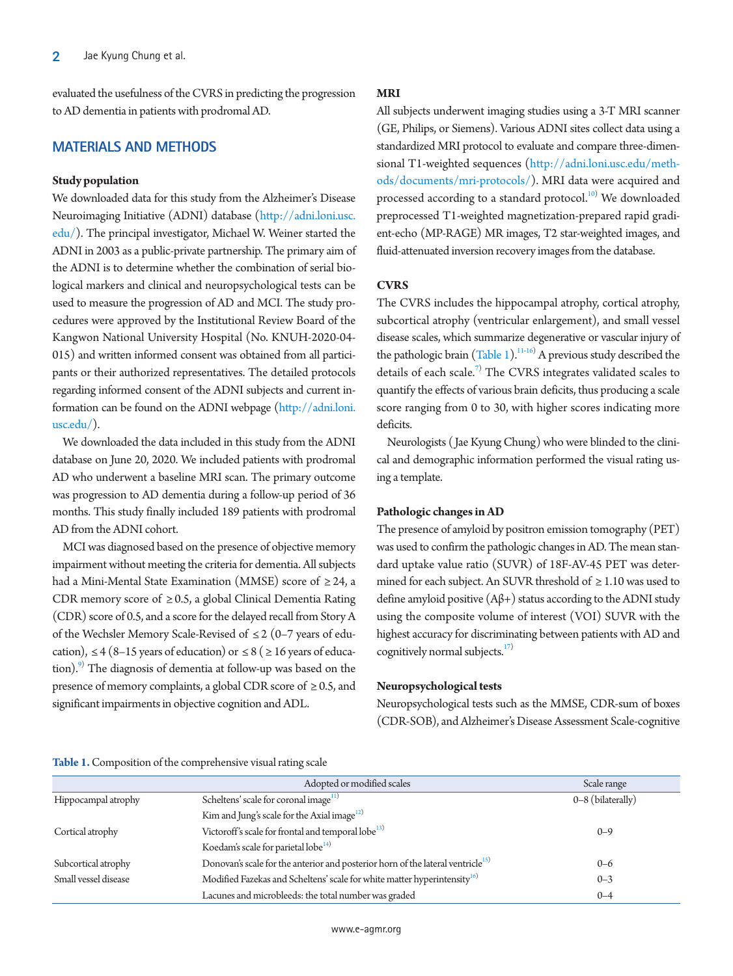evaluated the usefulness of the CVRS in predicting the progression to AD dementia in patients with prodromal AD.

## **MATERIALS AND METHODS**

### **Study population**

We downloaded data for this study from the Alzheimer's Disease Neuroimaging Initiative (ADNI) database [\(http://](http://adni.loni.usc.edu/)adni.loni.usc. edu/). The principal investigator, Michael W. Weiner started the ADNI in 2003 as a public-private partnership. The primary aim of the ADNI is to determine whether the combination of serial biological markers and clinical and neuropsychological tests can be used to measure the progression of AD and MCI. The study procedures were approved by the Institutional Review Board of the Kangwon National University Hospital (No. KNUH-2020-04- 015) and written informed consent was obtained from all participants or their authorized representatives. The detailed protocols regarding informed consent of the ADNI subjects and current information can be found on the ADNI webpage [\(http://adni.loni.](http://adni.loni.usc.edu/) [usc.edu/](http://adni.loni.usc.edu/)).

We downloaded the data included in this study from the ADNI database on June 20, 2020. We included patients with prodromal AD who underwent a baseline MRI scan. The primary outcome was progression to AD dementia during a follow-up period of 36 months. This study finally included 189 patients with prodromal AD from the ADNI cohort.

MCI was diagnosed based on the presence of objective memory impairment without meeting the criteria for dementia. All subjects had a Mini-Mental State Examination (MMSE) score of  $\geq$  24, a CDR memory score of  $\geq$  0.5, a global Clinical Dementia Rating (CDR) score of 0.5, and a score for the delayed recall from Story A of the Wechsler Memory Scale-Revised of ≤ 2 (0–7 years of education),  $\leq 4$  (8–15 years of education) or  $\leq 8$  ( $\geq 16$  years of education).<sup>9)</sup> The diagnosis of dementia at follow-up was based on the presence of memory complaints, a global CDR score of  $\geq 0.5$ , and significant impairments in objective cognition and ADL.

## **MRI**

All subjects underwent imaging studies using a 3-T MRI scanner (GE, Philips, or Siemens). Various ADNI sites collect data using a standardized MRI protocol to evaluate and compare three-dimensional T1-weighted sequences [\(http://](http://adni.loni.usc.edu/methods/documents/mri-protocols/)adni.loni.usc.edu/methods/documents/mri-protocols/). MRI data were acquired and processed according to a standard protocol.<sup>[10](#page-5-3))</sup> We downloaded preprocessed T1-weighted magnetization-prepared rapid gradient-echo (MP-RAGE) MR images, T2 star-weighted images, and fluid-attenuated inversion recovery images from the database.

## **CVRS**

The CVRS includes the hippocampal atrophy, cortical atrophy, subcortical atrophy (ventricular enlargement), and small vessel disease scales, which summarize degenerative or vascular injury of the pathologic brain  $(Table 1).^{11-16}$  $(Table 1).^{11-16}$  $(Table 1).^{11-16}$  $(Table 1).^{11-16}$  A previous study described the details of each scale.<sup>7)</sup> The CVRS integrates validated scales to quantify the effects of various brain deficits, thus producing a scale score ranging from 0 to 30, with higher scores indicating more deficits.

Neurologists (Jae Kyung Chung) who were blinded to the clinical and demographic information performed the visual rating using a template.

### **Pathologic changes in AD**

The presence of amyloid by positron emission tomography (PET) was used to confirm the pathologic changes in AD. The mean standard uptake value ratio (SUVR) of 18F-AV-45 PET was determined for each subject. An SUVR threshold of  $\geq 1.10$  was used to define amyloid positive (Aβ+) status according to the ADNI study using the composite volume of interest (VOI) SUVR with the highest accuracy for discriminating between patients with AD and cognitively normal subjects. $17$ 

#### **Neuropsychological tests**

Neuropsychological tests such as the MMSE, CDR-sum of boxes (CDR-SOB), and Alzheimer's Disease Assessment Scale-cognitive

#### <span id="page-1-0"></span>**Table 1.** Composition of the comprehensive visual rating scale

|                      | Adopted or modified scales                                                                  | Scale range       |
|----------------------|---------------------------------------------------------------------------------------------|-------------------|
| Hippocampal atrophy  | Scheltens' scale for coronal image <sup>11)</sup>                                           | 0-8 (bilaterally) |
|                      | Kim and Jung's scale for the Axial image <sup>12)</sup>                                     |                   |
| Cortical atrophy     | Victoroff's scale for frontal and temporal lobe <sup>13)</sup>                              | $0 - 9$           |
|                      | Koedam's scale for parietal lobe <sup>14)</sup>                                             |                   |
| Subcortical atrophy  | Donovan's scale for the anterior and posterior horn of the lateral ventricle <sup>15)</sup> | $0 - 6$           |
| Small vessel disease | Modified Fazekas and Scheltens' scale for white matter hyperintensity <sup>16)</sup>        | $0 - 3$           |
|                      | Lacunes and microbleeds: the total number was graded                                        | $0 - 4$           |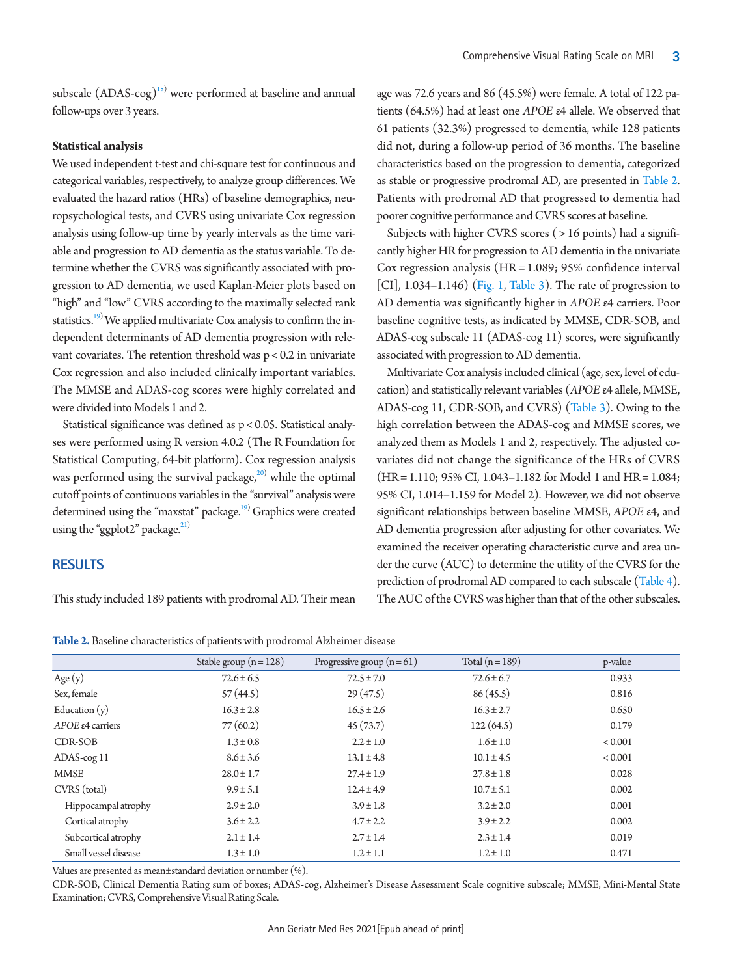subscale  $(ADAS\text{-}cog)^{18)}$  $(ADAS\text{-}cog)^{18)}$  $(ADAS\text{-}cog)^{18)}$  were performed at baseline and annual follow-ups over 3 years.

#### **Statistical analysis**

We used independent t-test and chi-square test for continuous and categorical variables, respectively, to analyze group differences. We evaluated the hazard ratios (HRs) of baseline demographics, neuropsychological tests, and CVRS using univariate Cox regression analysis using follow-up time by yearly intervals as the time variable and progression to AD dementia as the status variable. To determine whether the CVRS was significantly associated with progression to AD dementia, we used Kaplan-Meier plots based on "high" and "low" CVRS according to the maximally selected rank statistics.<sup>19)</sup> We applied multivariate Cox analysis to confirm the independent determinants of AD dementia progression with relevant covariates. The retention threshold was p < 0.2 in univariate Cox regression and also included clinically important variables. The MMSE and ADAS-cog scores were highly correlated and were divided into Models 1 and 2.

Statistical significance was defined as p < 0.05. Statistical analyses were performed using R version 4.0.2 (The R Foundation for Statistical Computing, 64-bit platform). Cox regression analysis was performed using the survival package, $^{20)}$  $^{20)}$  $^{20)}$  while the optimal cutoff points of continuous variables in the "survival" analysis were determined using the "maxstat" package.<sup>19)</sup> Graphics were created using the "ggplot2" package. $^{21)}$  $^{21)}$  $^{21)}$ 

#### **RESULTS**

This study included 189 patients with prodromal AD. Their mean

age was 72.6 years and 86 (45.5%) were female. A total of 122 patients (64.5%) had at least one *APOE* ε4 allele. We observed that 61 patients (32.3%) progressed to dementia, while 128 patients did not, during a follow-up period of 36 months. The baseline characteristics based on the progression to dementia, categorized as stable or progressive prodromal AD, are presented in [Table 2.](#page-2-0) Patients with prodromal AD that progressed to dementia had poorer cognitive performance and CVRS scores at baseline.

Subjects with higher CVRS scores ( > 16 points) had a significantly higher HR for progression to AD dementia in the univariate Cox regression analysis (HR = 1.089; 95% confidence interval [CI], 1.034–1.146) [\(Fig. 1](#page-5-6), [Table 3\)](#page-3-0). The rate of progression to AD dementia was significantly higher in *APOE* ε4 carriers. Poor baseline cognitive tests, as indicated by MMSE, CDR-SOB, and ADAS-cog subscale 11 (ADAS-cog 11) scores, were significantly associated with progression to AD dementia.

Multivariate Cox analysis included clinical (age, sex, level of education) and statistically relevant variables (*APOE* ε4 allele, MMSE, ADAS-cog 11, CDR-SOB, and CVRS) [\(Table 3](#page-3-0)). Owing to the high correlation between the ADAS-cog and MMSE scores, we analyzed them as Models 1 and 2, respectively. The adjusted covariates did not change the significance of the HRs of CVRS (HR = 1.110; 95% CI, 1.043–1.182 for Model 1 and HR = 1.084; 95% CI, 1.014–1.159 for Model 2). However, we did not observe significant relationships between baseline MMSE, *APOE* ε4, and AD dementia progression after adjusting for other covariates. We examined the receiver operating characteristic curve and area under the curve (AUC) to determine the utility of the CVRS for the prediction of prodromal AD compared to each subscale [\(Table 4\)](#page-3-1). The AUC of the CVRS was higher than that of the other subscales.

|                            | Stable group $(n = 128)$ | Progressive group $(n=61)$ | Total $(n=189)$ | p-value     |
|----------------------------|--------------------------|----------------------------|-----------------|-------------|
| Age $(y)$                  | $72.6 \pm 6.5$           | $72.5 \pm 7.0$             | $72.6 \pm 6.7$  | 0.933       |
| Sex, female                | 57(44.5)                 | 29(47.5)                   | 86(45.5)        | 0.816       |
| Education $(y)$            | $16.3 \pm 2.8$           | $16.5 \pm 2.6$             | $16.3 \pm 2.7$  | 0.650       |
| $APOE \epsilon 4$ carriers | 77(60.2)                 | 45(73.7)                   | 122(64.5)       | 0.179       |
| CDR-SOB                    | $1.3 \pm 0.8$            | $2.2 \pm 1.0$              | $1.6 \pm 1.0$   | ${}< 0.001$ |
| ADAS-cog 11                | $8.6 \pm 3.6$            | $13.1 \pm 4.8$             | $10.1 \pm 4.5$  | < 0.001     |
| <b>MMSE</b>                | $28.0 \pm 1.7$           | $27.4 \pm 1.9$             | $27.8 \pm 1.8$  | 0.028       |
| CVRS (total)               | $9.9 \pm 5.1$            | $12.4 \pm 4.9$             | $10.7 \pm 5.1$  | 0.002       |
| Hippocampal atrophy        | $2.9 \pm 2.0$            | $3.9 \pm 1.8$              | $3.2 \pm 2.0$   | 0.001       |
| Cortical atrophy           | $3.6 \pm 2.2$            | $4.7 \pm 2.2$              | $3.9 \pm 2.2$   | 0.002       |
| Subcortical atrophy        | $2.1 \pm 1.4$            | $2.7 \pm 1.4$              | $2.3 \pm 1.4$   | 0.019       |
| Small vessel disease       | $1.3 \pm 1.0$            | $1.2 \pm 1.1$              | $1.2 \pm 1.0$   | 0.471       |

<span id="page-2-0"></span>**Table 2.** Baseline characteristics of patients with prodromal Alzheimer disease

Values are presented as mean±standard deviation or number (%).

CDR-SOB, Clinical Dementia Rating sum of boxes; ADAS-cog, Alzheimer's Disease Assessment Scale cognitive subscale; MMSE, Mini-Mental State Examination; CVRS, Comprehensive Visual Rating Scale.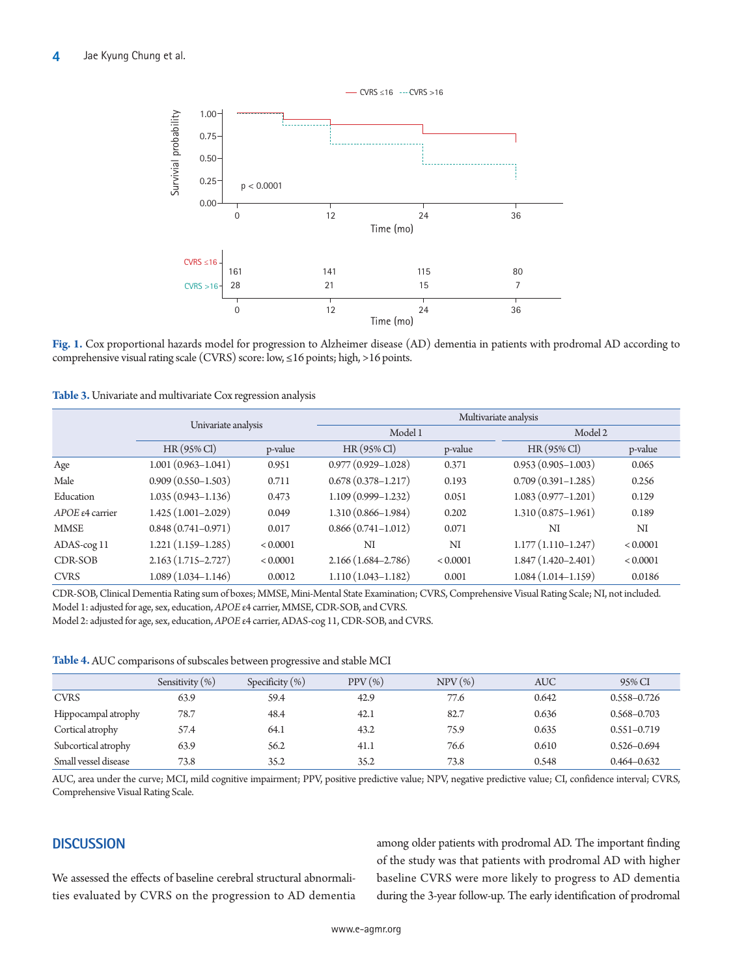

**Fig. 1.** Cox proportional hazards model for progression to Alzheimer disease (AD) dementia in patients with prodromal AD according to comprehensive visual rating scale (CVRS) score: low, ≤16 points; high, >16 points.

<span id="page-3-0"></span>**Table 3.** Univariate and multivariate Cox regression analysis

|                           | Univariate analysis    |          | Multivariate analysis  |          |                        |          |
|---------------------------|------------------------|----------|------------------------|----------|------------------------|----------|
|                           |                        |          | Model 1                |          | Model 2                |          |
|                           | $HR(95\% \text{ Cl})$  | p-value  | $HR(95\% \text{ Cl})$  | p-value  | $HR(95\% \text{ Cl})$  | p-value  |
| Age                       | $1.001(0.963 - 1.041)$ | 0.951    | $0.977(0.929 - 1.028)$ | 0.371    | $0.953(0.905 - 1.003)$ | 0.065    |
| Male                      | $0.909(0.550 - 1.503)$ | 0.711    | $0.678(0.378 - 1.217)$ | 0.193    | $0.709(0.391 - 1.285)$ | 0.256    |
| Education                 | $1.035(0.943 - 1.136)$ | 0.473    | $1.109(0.999 - 1.232)$ | 0.051    | $1.083(0.977 - 1.201)$ | 0.129    |
| $APOE \epsilon 4$ carrier | $1.425(1.001 - 2.029)$ | 0.049    | $1.310(0.866 - 1.984)$ | 0.202    | $1.310(0.875 - 1.961)$ | 0.189    |
| <b>MMSE</b>               | $0.848(0.741 - 0.971)$ | 0.017    | $0.866(0.741 - 1.012)$ | 0.071    | NI                     | NI       |
| ADAS-cog 11               | $1.221(1.159-1.285)$   | < 0.0001 | NI                     | NI       | $1.177(1.110-1.247)$   | < 0.0001 |
| CDR-SOB                   | $2.163(1.715 - 2.727)$ | < 0.0001 | $2.166(1.684 - 2.786)$ | < 0.0001 | $1.847(1.420 - 2.401)$ | < 0.0001 |
| <b>CVRS</b>               | $1.089(1.034 - 1.146)$ | 0.0012   | $1.110(1.043 - 1.182)$ | 0.001    | $1.084(1.014 - 1.159)$ | 0.0186   |

CDR-SOB, Clinical Dementia Rating sum of boxes; MMSE, Mini-Mental State Examination; CVRS, Comprehensive Visual Rating Scale; NI, not included. Model 1: adjusted for age, sex, education, *APOE* ε4 carrier, MMSE, CDR-SOB, and CVRS.

Model 2: adjusted for age, sex, education, *APOE* ε4 carrier, ADAS-cog 11, CDR-SOB, and CVRS.

<span id="page-3-1"></span>**Table 4.** AUC comparisons of subscales between progressive and stable MCI

|                      | Sensitivity $(\%)$ | Specificity $(\%)$ | $PPV(\% )$ | $NPV$ $(\%)$ | <b>AUC</b> | 95% CI          |
|----------------------|--------------------|--------------------|------------|--------------|------------|-----------------|
|                      |                    |                    |            |              |            |                 |
| <b>CVRS</b>          | 63.9               | 59.4               | 42.9       | 77.6         | 0.642      | $0.558 - 0.726$ |
| Hippocampal atrophy  | 78.7               | 48.4               | 42.1       | 82.7         | 0.636      | $0.568 - 0.703$ |
| Cortical atrophy     | 57.4               | 64.1               | 43.2       | 75.9         | 0.635      | $0.551 - 0.719$ |
| Subcortical atrophy  | 63.9               | 56.2               | 41.1       | 76.6         | 0.610      | $0.526 - 0.694$ |
| Small vessel disease | 73.8               | 35.2               | 35.2       | 73.8         | 0.548      | $0.464 - 0.632$ |

AUC, area under the curve; MCI, mild cognitive impairment; PPV, positive predictive value; NPV, negative predictive value; CI, confidence interval; CVRS, Comprehensive Visual Rating Scale.

## **DISCUSSION**

We assessed the effects of baseline cerebral structural abnormalities evaluated by CVRS on the progression to AD dementia among older patients with prodromal AD. The important finding of the study was that patients with prodromal AD with higher baseline CVRS were more likely to progress to AD dementia during the 3-year follow-up. The early identification of prodromal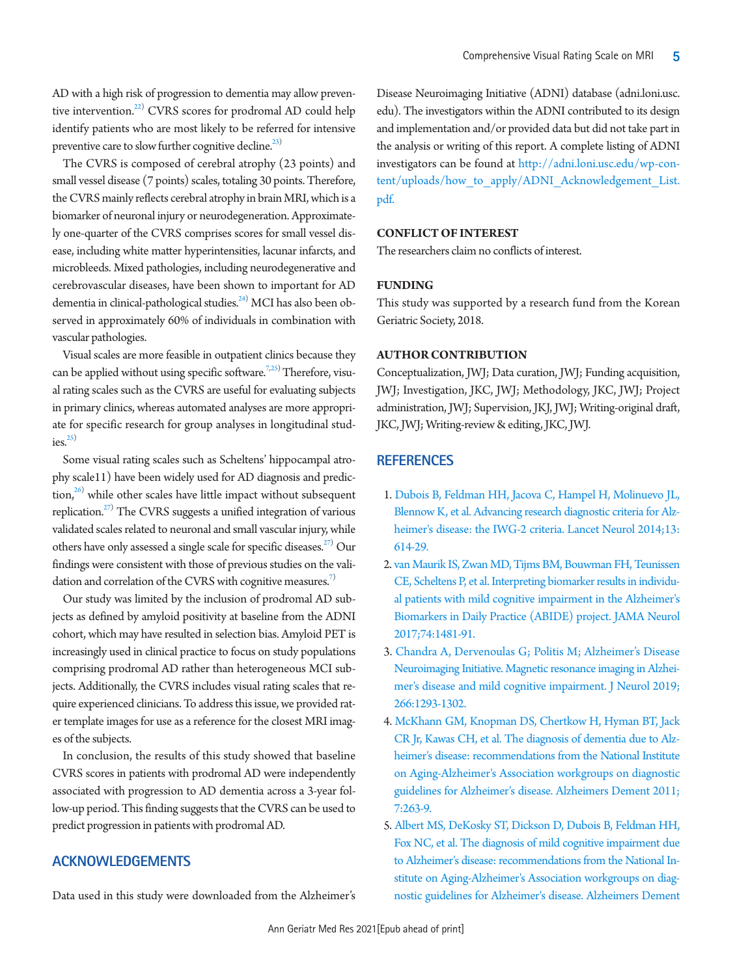AD with a high risk of progression to dementia may allow preventive intervention.<sup>22)</sup> CVRS scores for prodromal AD could help identify patients who are most likely to be referred for intensive preventive care to slow further cognitive decline.<sup>23)</sup>

The CVRS is composed of cerebral atrophy (23 points) and small vessel disease (7 points) scales, totaling 30 points. Therefore, the CVRS mainly reflects cerebral atrophy in brain MRI, which is a biomarker of neuronal injury or neurodegeneration. Approximately one-quarter of the CVRS comprises scores for small vessel disease, including white matter hyperintensities, lacunar infarcts, and microbleeds. Mixed pathologies, including neurodegenerative and cerebrovascular diseases, have been shown to important for AD dementia in clinical-pathological studies.<sup>24)</sup> MCI has also been observed in approximately 60% of individuals in combination with vascular pathologies.

Visual scales are more feasible in outpatient clinics because they can be applied without using specific software.<sup>7[,25\)](#page-5-18)</sup> Therefore, visual rating scales such as the CVRS are useful for evaluating subjects in primary clinics, whereas automated analyses are more appropriate for specific research for group analyses in longitudinal stud $ies<sup>25</sup>$ 

Some visual rating scales such as Scheltens' hippocampal atrophy scale11) have been widely used for AD diagnosis and predic- $\frac{1}{26}$  while other scales have little impact without subsequent replication. $^{27)}$  The CVRS suggests a unified integration of various validated scales related to neuronal and small vascular injury, while others have only assessed a single scale for specific diseases.<sup>27)</sup> Our findings were consistent with those of previous studies on the vali-dation and correlation of the CVRS with cognitive measures.<sup>[7](#page-4-7))</sup>

Our study was limited by the inclusion of prodromal AD subjects as defined by amyloid positivity at baseline from the ADNI cohort, which may have resulted in selection bias. Amyloid PET is increasingly used in clinical practice to focus on study populations comprising prodromal AD rather than heterogeneous MCI subjects. Additionally, the CVRS includes visual rating scales that require experienced clinicians. To address this issue, we provided rater template images for use as a reference for the closest MRI images of the subjects.

In conclusion, the results of this study showed that baseline CVRS scores in patients with prodromal AD were independently associated with progression to AD dementia across a 3-year follow-up period. This finding suggests that the CVRS can be used to predict progression in patients with prodromal AD.

## **ACKNOWLEDGEMENTS**

Data used in this study were downloaded from the Alzheimer's

Disease Neuroimaging Initiative (ADNI) database (adni.loni.usc. edu). The investigators within the ADNI contributed to its design and implementation and/or provided data but did not take part in the analysis or writing of this report. A complete listing of ADNI investigators can be found at [http://adni.loni.usc.edu/wp-con](http://adni.loni.usc.edu/wp-content/uploads/how_to_apply/ADNI_Acknowledgement_List.pdf)[tent/uploads/how\\_to\\_apply/ADNI\\_Acknowledgement\\_List.](http://adni.loni.usc.edu/wp-content/uploads/how_to_apply/ADNI_Acknowledgement_List.pdf) [pdf.](http://adni.loni.usc.edu/wp-content/uploads/how_to_apply/ADNI_Acknowledgement_List.pdf)

#### **CONFLICT OF INTEREST**

The researchers claim no conflicts of interest.

#### **FUNDING**

This study was supported by a research fund from the Korean Geriatric Society, 2018.

#### **AUTHOR CONTRIBUTION**

Conceptualization, JWJ; Data curation, JWJ; Funding acquisition, JWJ; Investigation, JKC, JWJ; Methodology, JKC, JWJ; Project administration, JWJ; Supervision, JKJ, JWJ; Writing-original draft, JKC, JWJ; Writing-review & editing, JKC, JWJ.

#### **REFERENCES**

- <span id="page-4-0"></span>1. [Dubois B, Feldman HH, Jacova C, Hampel H, Molinuevo JL,](https://doi.org/10.1016/s1474-4422(14)70090-0)  [Blennow K, et al. Advancing research diagnostic criteria for Alz](https://doi.org/10.1016/s1474-4422(14)70090-0)[heimer's disease: the IWG-2 criteria. Lancet Neurol 2014;13:](https://doi.org/10.1016/s1474-4422(14)70090-0) [614-29.](https://doi.org/10.1016/s1474-4422(14)70090-0)
- <span id="page-4-1"></span>2. [van Maurik IS, Zwan MD, Tijms BM, Bouwman FH, Teunissen](https://doi.org/10.1001/jamaneurol.2017.2712)  [CE, Scheltens P, et al. Interpreting biomarker results in individu](https://doi.org/10.1001/jamaneurol.2017.2712)[al patients with mild cognitive impairment in the Alzheimer's](https://doi.org/10.1001/jamaneurol.2017.2712)  [Biomarkers in Daily Practice \(ABIDE\) project. JAMA](https://doi.org/10.1001/jamaneurol.2017.2712) Neurol 2017;74:1481-91.
- <span id="page-4-2"></span>3[. Chandra A, Dervenoulas G; Politis M; Alzheimer's Disease](https://doi.org/10.1007/s00415-018-9016-3)  [Neuroimaging Initiative. Magnetic resonance imaging in Alzhei](https://doi.org/10.1007/s00415-018-9016-3)[mer's disease and mild cognitive impairment. J Neurol 2019;](https://doi.org/10.1007/s00415-018-9016-3) [266:1293-1302](https://doi.org/10.1007/s00415-018-9016-3).
- <span id="page-4-5"></span><span id="page-4-3"></span>4[. McKhann GM, Knopman DS, Chertkow H, Hyman BT, Jack](https://doi.org/10.1016/j.jalz.2011.03.005)  [CR Jr, Kawas CH, et al. The diagnosis of dementia due to Alz](https://doi.org/10.1016/j.jalz.2011.03.005)[heimer's disease: recommendations from the National Institute](https://doi.org/10.1016/j.jalz.2011.03.005)  [on Aging-Alzheimer's Association workgroups o](https://doi.org/10.1016/j.jalz.2011.03.005)n diagnostic guidelines for Alzheimer's disease. Alzheimers Dement 2011; 7:263-9.
- <span id="page-4-7"></span><span id="page-4-6"></span><span id="page-4-4"></span>5. Albert MS, DeKosky ST, Dickson [D, Dubois B, Feldman HH,](https://doi.org/10.1016/j.jalz.2011.03.008)  [Fox NC, et al. The diagnosis of mild cognitive impairment due](https://doi.org/10.1016/j.jalz.2011.03.008)  [to Alzheimer's disease: recommendations from the National In](https://doi.org/10.1016/j.jalz.2011.03.008)[stitute on Aging-Alzheimer's Association workgroups](https://doi.org/10.1016/j.jalz.2011.03.008) on diagnostic guidelines for Alzheimer's disease. Alzheimers Dement